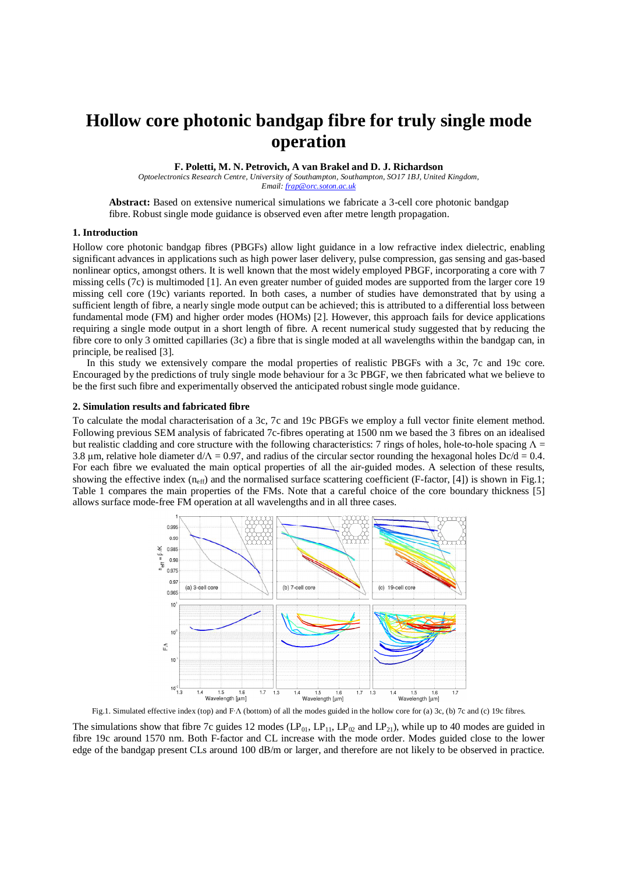# **Hollow core photonic bandgap fibre for truly single mode operation**

**F. Poletti, M. N. Petrovich, A van Brakel and D. J. Richardson** 

*Optoelectronics Research Centre, University of Southampton, Southampton, SO17 1BJ, United Kingdom, Email: frap@orc.soton.ac.uk*

**Abstract:** Based on extensive numerical simulations we fabricate a 3-cell core photonic bandgap fibre. Robust single mode guidance is observed even after metre length propagation.

### **1. Introduction**

Hollow core photonic bandgap fibres (PBGFs) allow light guidance in a low refractive index dielectric, enabling significant advances in applications such as high power laser delivery, pulse compression, gas sensing and gas-based nonlinear optics, amongst others. It is well known that the most widely employed PBGF, incorporating a core with 7 missing cells (7c) is multimoded [1]. An even greater number of guided modes are supported from the larger core 19 missing cell core (19c) variants reported. In both cases, a number of studies have demonstrated that by using a sufficient length of fibre, a nearly single mode output can be achieved; this is attributed to a differential loss between fundamental mode (FM) and higher order modes (HOMs) [2]. However, this approach fails for device applications requiring a single mode output in a short length of fibre. A recent numerical study suggested that by reducing the fibre core to only 3 omitted capillaries (3c) a fibre that is single moded at all wavelengths within the bandgap can, in principle, be realised [3].

In this study we extensively compare the modal properties of realistic PBGFs with a 3c, 7c and 19c core. Encouraged by the predictions of truly single mode behaviour for a 3c PBGF, we then fabricated what we believe to be the first such fibre and experimentally observed the anticipated robust single mode guidance.

### **2. Simulation results and fabricated fibre**

To calculate the modal characterisation of a 3c, 7c and 19c PBGFs we employ a full vector finite element method. Following previous SEM analysis of fabricated 7c-fibres operating at 1500 nm we based the 3 fibres on an idealised but realistic cladding and core structure with the following characteristics: 7 rings of holes, hole-to-hole spacing  $\Lambda$  = 3.8 μm, relative hole diameter  $d/\Lambda = 0.97$ , and radius of the circular sector rounding the hexagonal holes Dc/d = 0.4. For each fibre we evaluated the main optical properties of all the air-guided modes. A selection of these results, showing the effective index ( $n_{\text{eff}}$ ) and the normalised surface scattering coefficient (F-factor, [4]) is shown in Fig.1; Table 1 compares the main properties of the FMs. Note that a careful choice of the core boundary thickness [5] allows surface mode-free FM operation at all wavelengths and in all three cases.



Fig.1. Simulated effective index (top) and F·Λ (bottom) of all the modes guided in the hollow core for (a) 3c, (b) 7c and (c) 19c fibres.

The simulations show that fibre 7c guides 12 modes (LP<sub>01</sub>, LP<sub>11</sub>, LP<sub>02</sub> and LP<sub>21</sub>), while up to 40 modes are guided in fibre 19c around 1570 nm. Both F-factor and CL increase with the mode order. Modes guided close to the lower edge of the bandgap present CLs around 100 dB/m or larger, and therefore are not likely to be observed in practice.